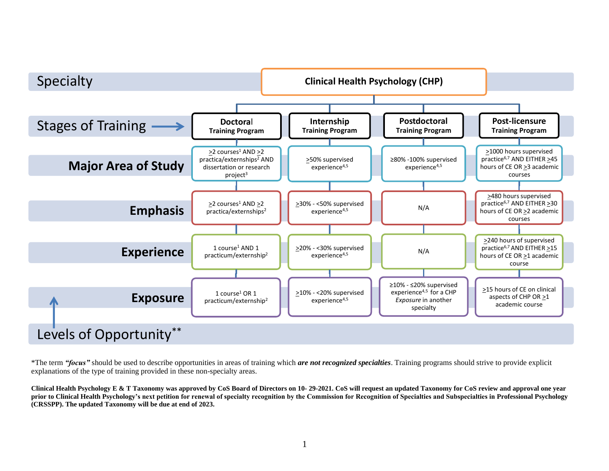

\*The term *"focus"* should be used to describe opportunities in areas of training which *are not recognized specialties*. Training programs should strive to provide explicit explanations of the type of training provided in these non-specialty areas.

**Clinical Health Psychology E & T Taxonomy was approved by CoS Board of Directors on 10- 29-2021. CoS will request an updated Taxonomy for CoS review and approval one year prior to Clinical Health Psychology's next petition for renewal of specialty recognition by the Commission for Recognition of Specialties and Subspecialties in Professional Psychology (CRSSPP). The updated Taxonomy will be due at end of 2023.**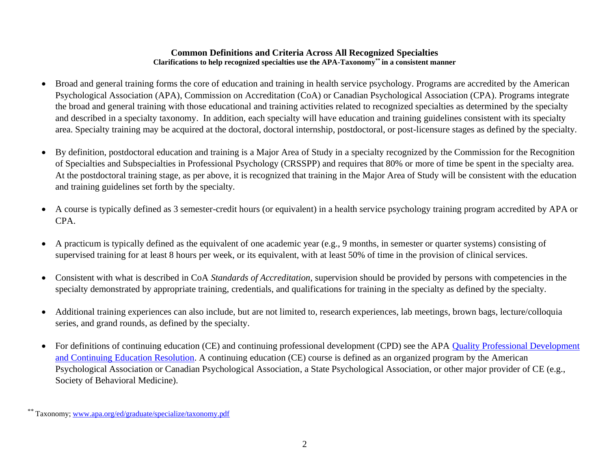#### **Common Definitions and Criteria Across All Recognized Specialties Clarifications to help recognized specialties use the APA-Taxonomy\*\* in a consistent manner**

- Broad and general training forms the core of education and training in health service psychology. Programs are accredited by the American Psychological Association (APA), Commission on Accreditation (CoA) or Canadian Psychological Association (CPA). Programs integrate the broad and general training with those educational and training activities related to recognized specialties as determined by the specialty and described in a specialty taxonomy. In addition, each specialty will have education and training guidelines consistent with its specialty area. Specialty training may be acquired at the doctoral, doctoral internship, postdoctoral, or post-licensure stages as defined by the specialty.
- By definition, postdoctoral education and training is a Major Area of Study in a specialty recognized by the Commission for the Recognition of Specialties and Subspecialties in Professional Psychology (CRSSPP) and requires that 80% or more of time be spent in the specialty area. At the postdoctoral training stage, as per above, it is recognized that training in the Major Area of Study will be consistent with the education and training guidelines set forth by the specialty*.*
- A course is typically defined as 3 semester-credit hours (or equivalent) in a health service psychology training program accredited by APA or CPA.
- A practicum is typically defined as the equivalent of one academic year (e.g., 9 months, in semester or quarter systems) consisting of supervised training for at least 8 hours per week, or its equivalent, with at least 50% of time in the provision of clinical services.
- Consistent with what is described in CoA *Standards of Accreditation*, supervision should be provided by persons with competencies in the specialty demonstrated by appropriate training, credentials, and qualifications for training in the specialty as defined by the specialty.
- Additional training experiences can also include, but are not limited to, research experiences, lab meetings, brown bags, lecture/colloquia series, and grand rounds, as defined by the specialty.
- For definitions of continuing education (CE) and continuing professional development (CPD) see the APA Quality Professional Development [and Continuing Education Resolution.](https://www.apa.org/about/policy/improving-quality) A continuing education (CE) course is defined as an organized program by the American Psychological Association or Canadian Psychological Association, a State Psychological Association, or other major provider of CE (e.g., Society of Behavioral Medicine).

Taxonomy[; www.apa.org/ed/graduate/specialize/taxonomy.pdf](http://www.apa.org/ed/graduate/specialize/taxonomy.pdf)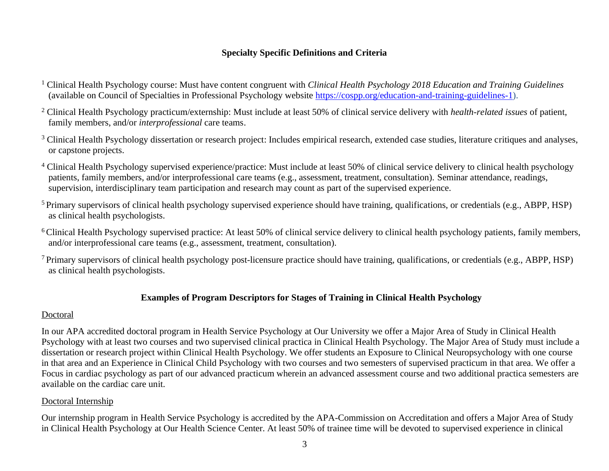# **Specialty Specific Definitions and Criteria**

- <sup>1</sup> Clinical Health Psychology course: Must have content congruent with *Clinical Health Psychology 2018 Education and Training Guidelines* (available on Council of Specialties in Professional Psychology website [https://cospp.org/education-and-training-guidelines-1\)](https://www.cospp.org/education-and-training-guidelines-1).
- <sup>2</sup> Clinical Health Psychology practicum/externship: Must include at least 50% of clinical service delivery with *health-related issues* of patient, family members, and/or *interprofessional* care teams.
- <sup>3</sup> Clinical Health Psychology dissertation or research project: Includes empirical research, extended case studies, literature critiques and analyses, or capstone projects.
- <sup>4</sup> Clinical Health Psychology supervised experience/practice: Must include at least 50% of clinical service delivery to clinical health psychology patients, family members, and/or interprofessional care teams (e.g., assessment, treatment, consultation). Seminar attendance, readings, supervision, interdisciplinary team participation and research may count as part of the supervised experience.
- <sup>5</sup> Primary supervisors of clinical health psychology supervised experience should have training, qualifications, or credentials (e.g., ABPP, HSP) as clinical health psychologists.
- <sup>6</sup>Clinical Health Psychology supervised practice: At least 50% of clinical service delivery to clinical health psychology patients, family members, and/or interprofessional care teams (e.g., assessment, treatment, consultation).
- <sup>7</sup>Primary supervisors of clinical health psychology post-licensure practice should have training, qualifications, or credentials (e.g., ABPP, HSP) as clinical health psychologists.

## **Examples of Program Descriptors for Stages of Training in Clinical Health Psychology**

## Doctoral

In our APA accredited doctoral program in Health Service Psychology at Our University we offer a Major Area of Study in Clinical Health Psychology with at least two courses and two supervised clinical practica in Clinical Health Psychology. The Major Area of Study must include a dissertation or research project within Clinical Health Psychology. We offer students an Exposure to Clinical Neuropsychology with one course in that area and an Experience in Clinical Child Psychology with two courses and two semesters of supervised practicum in that area. We offer a Focus in cardiac psychology as part of our advanced practicum wherein an advanced assessment course and two additional practica semesters are available on the cardiac care unit.

# Doctoral Internship

Our internship program in Health Service Psychology is accredited by the APA-Commission on Accreditation and offers a Major Area of Study in Clinical Health Psychology at Our Health Science Center. At least 50% of trainee time will be devoted to supervised experience in clinical